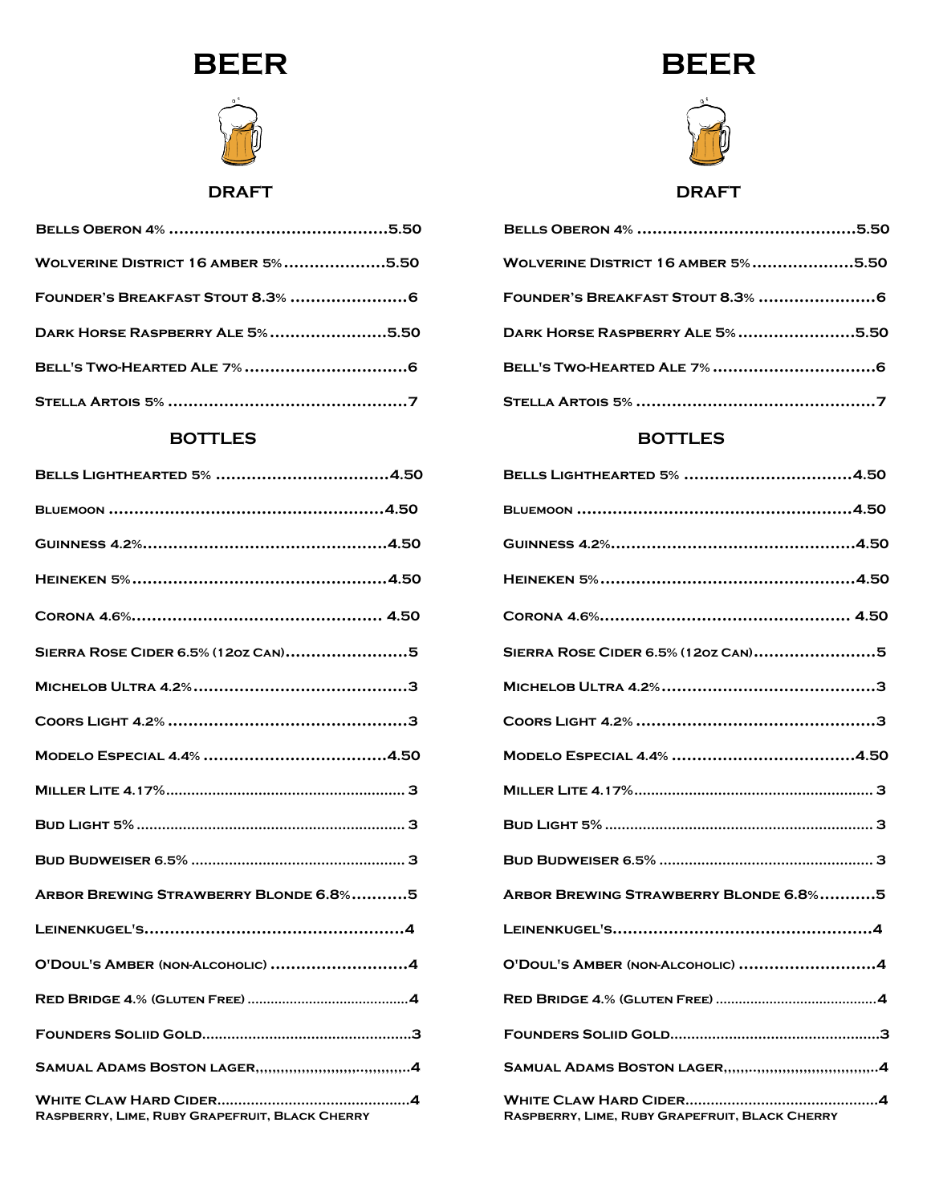



**DRAFT** 

| <b>WOLVERINE DISTRICT 16 AMBER 5%5.50</b> |  |
|-------------------------------------------|--|
|                                           |  |
| DARK HORSE RASPBERRY ALE 5%5.50           |  |
|                                           |  |
|                                           |  |

#### **BOTTLES**

| BELLS LIGHTHEARTED 5% 4.50                     |
|------------------------------------------------|
|                                                |
|                                                |
|                                                |
|                                                |
| SIERRA ROSE CIDER 6.5% (120Z CAN)5             |
|                                                |
|                                                |
|                                                |
|                                                |
|                                                |
|                                                |
| ARBOR BREWING STRAWBERRY BLONDE 6.8%5          |
|                                                |
| O'DOUL'S AMBER (NON-ALCOHOLIC) 4               |
|                                                |
|                                                |
|                                                |
| RASPBERRY, LIME, RUBY GRAPEFRUIT, BLACK CHERRY |